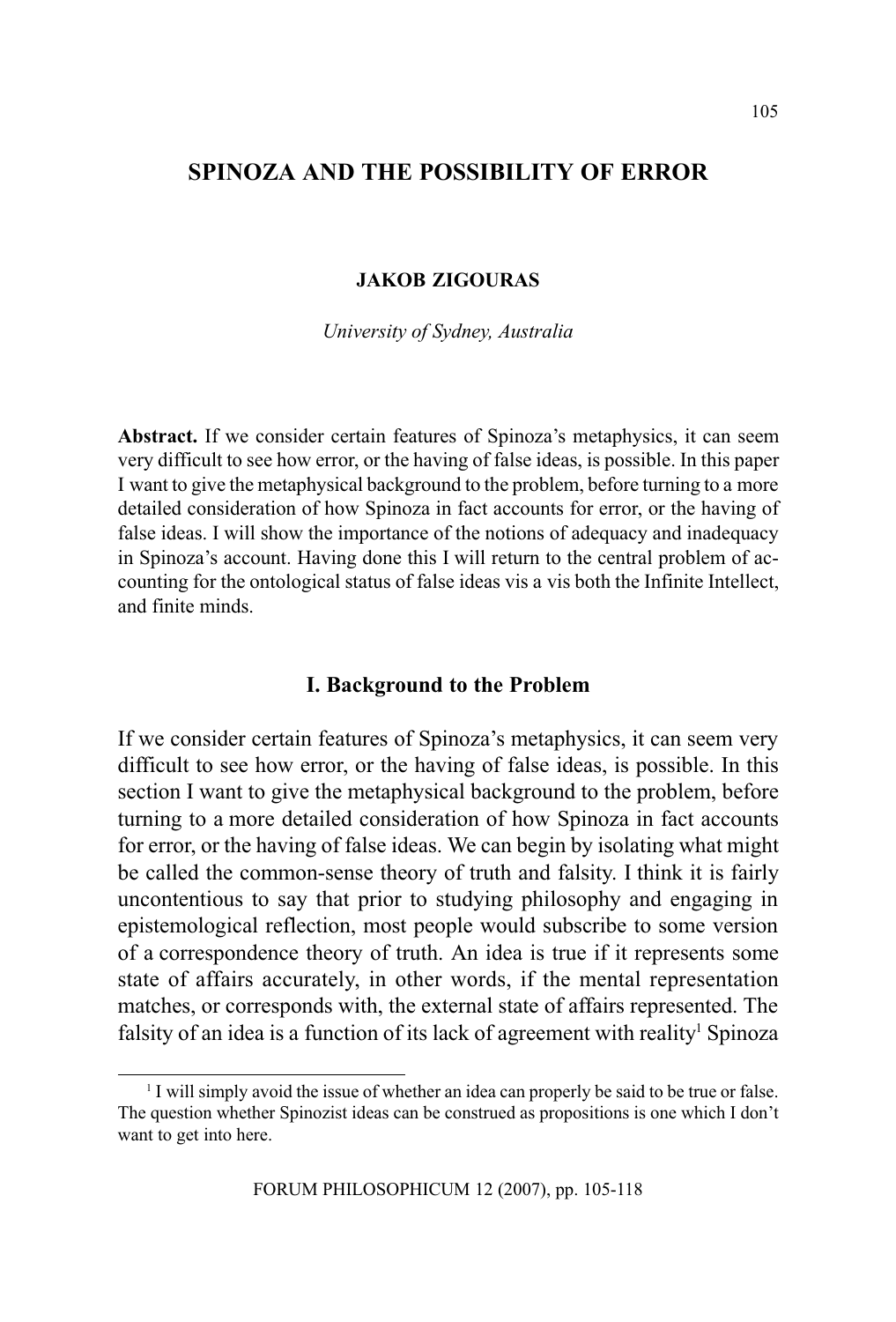# SPINOZA AND THE POSSIBILITY OF ERROR

## JAKOB ZIGOURAS

University of Sydney, Australia

Abstract. If we consider certain features of Spinoza's metaphysics, it can seem very difficult to see how error, or the having of false ideas, is possible. In this paper I want to give the metaphysical background to the problem, before turning to a more detailed consideration of how Spinoza in fact accounts for error, or the having of false ideas. I will show the importance of the notions of adequacy and inadequacy in Spinoza's account. Having done this I will return to the central problem of accounting for the ontological status of false ideas vis a vis both the Infinite Intellect, and finite minds.

## I. Background to the Problem

If we consider certain features of Spinoza's metaphysics, it can seem very difficult to see how error, or the having of false ideas, is possible. In this section I want to give the metaphysical background to the problem, before turning to a more detailed consideration of how Spinoza in fact accounts for error, or the having of false ideas. We can begin by isolating what might be called the common-sense theory of truth and falsity. I think it is fairly uncontentious to say that prior to studying philosophy and engaging in epistemological reflection, most people would subscribe to some version of a correspondence theory of truth. An idea is true if it represents some state of affairs accurately, in other words, if the mental representation matches, or corresponds with, the external state of affairs represented. The falsity of an idea is a function of its lack of agreement with reality<sup>1</sup> Spinoza

<sup>&</sup>lt;sup>1</sup> I will simply avoid the issue of whether an idea can properly be said to be true or false. The question whether Spinozist ideas can be construed as propositions is one which I don't want to get into here.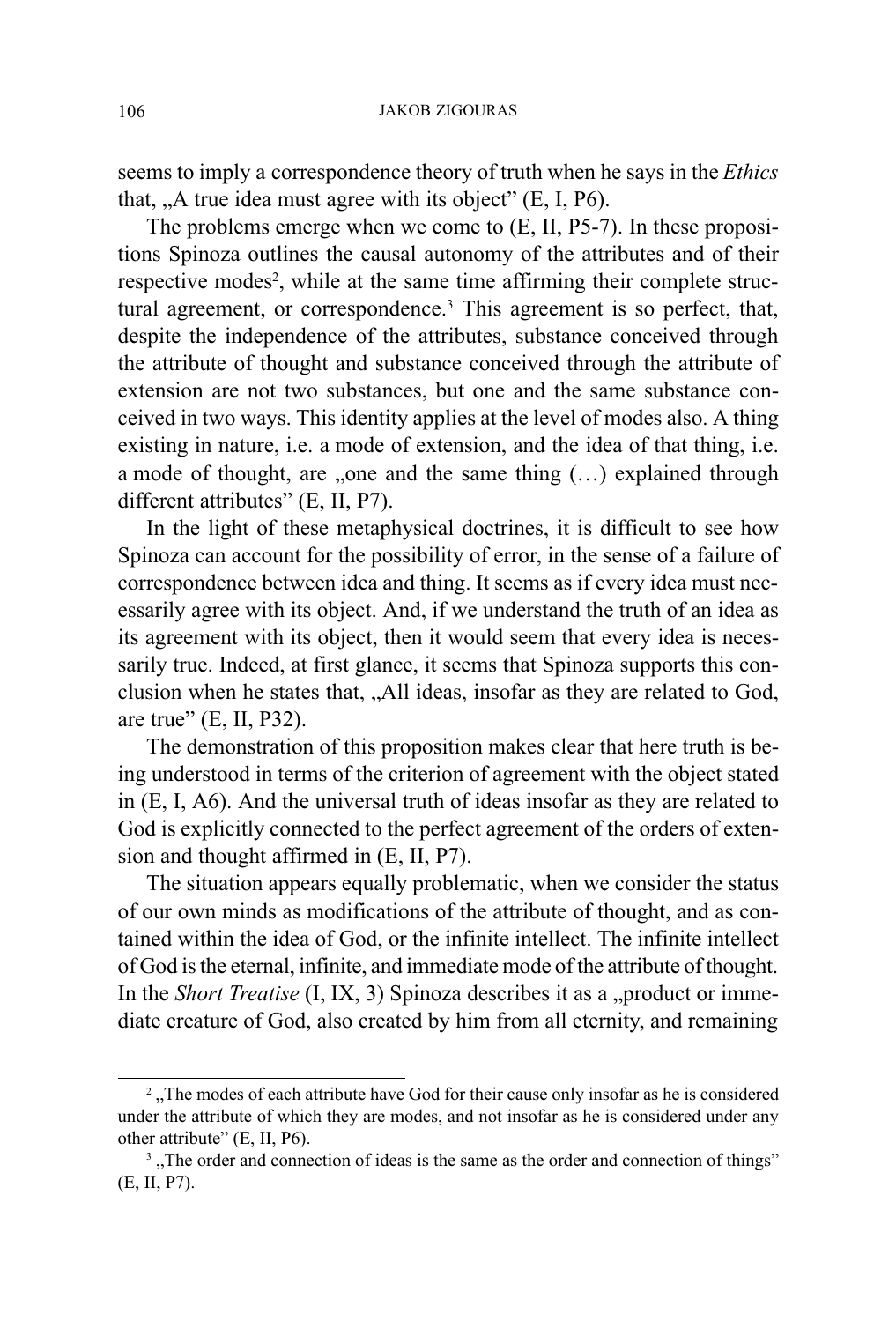seems to imply a correspondence theory of truth when he says in the *Ethics* that,  $A$ , true idea must agree with its object"  $(E, I, P6)$ .

The problems emerge when we come to (E, II, P5-7). In these propositions Spinoza outlines the causal autonomy of the attributes and of their respective modes<sup>2</sup>, while at the same time affirming their complete structural agreement, or correspondence.<sup>3</sup> This agreement is so perfect, that, despite the independence of the attributes, substance conceived through the attribute of thought and substance conceived through the attribute of extension are not two substances, but one and the same substance conceived in two ways. This identity applies at the level of modes also. A thing existing in nature, i.e. a mode of extension, and the idea of that thing, i.e. a mode of thought, are "one and the same thing  $(...)$  explained through different attributes"  $(E, II, P7)$ .

In the light of these metaphysical doctrines, it is difficult to see how Spinoza can account for the possibility of error, in the sense of a failure of correspondence between idea and thing. It seems as if every idea must necessarily agree with its object. And, if we understand the truth of an idea as its agreement with its object, then it would seem that every idea is necessarily true. Indeed, at first glance, it seems that Spinoza supports this conclusion when he states that, All ideas, insofar as they are related to God, are true"  $(E, II, P32)$ .

The demonstration of this proposition makes clear that here truth is being understood in terms of the criterion of agreement with the object stated in (E, I, A6). And the universal truth of ideas insofar as they are related to God is explicitly connected to the perfect agreement of the orders of extension and thought affirmed in (E, II, P7).

The situation appears equally problematic, when we consider the status of our own minds as modifications of the attribute of thought, and as contained within the idea of God, or the infinite intellect. The infinite intellect of God is the eternal, infinite, and immediate mode of the attribute of thought. In the *Short Treatise*  $(I, IX, 3)$  Spinoza describes it as a "product or immediate creature of God, also created by him from all eternity, and remaining

<sup>&</sup>lt;sup>2</sup>, The modes of each attribute have God for their cause only insofar as he is considered under the attribute of which they are modes, and not insofar as he is considered under any other attribute"  $(E, II, P6)$ .

<sup>&</sup>lt;sup>3</sup>, The order and connection of ideas is the same as the order and connection of things" (E, II, P7).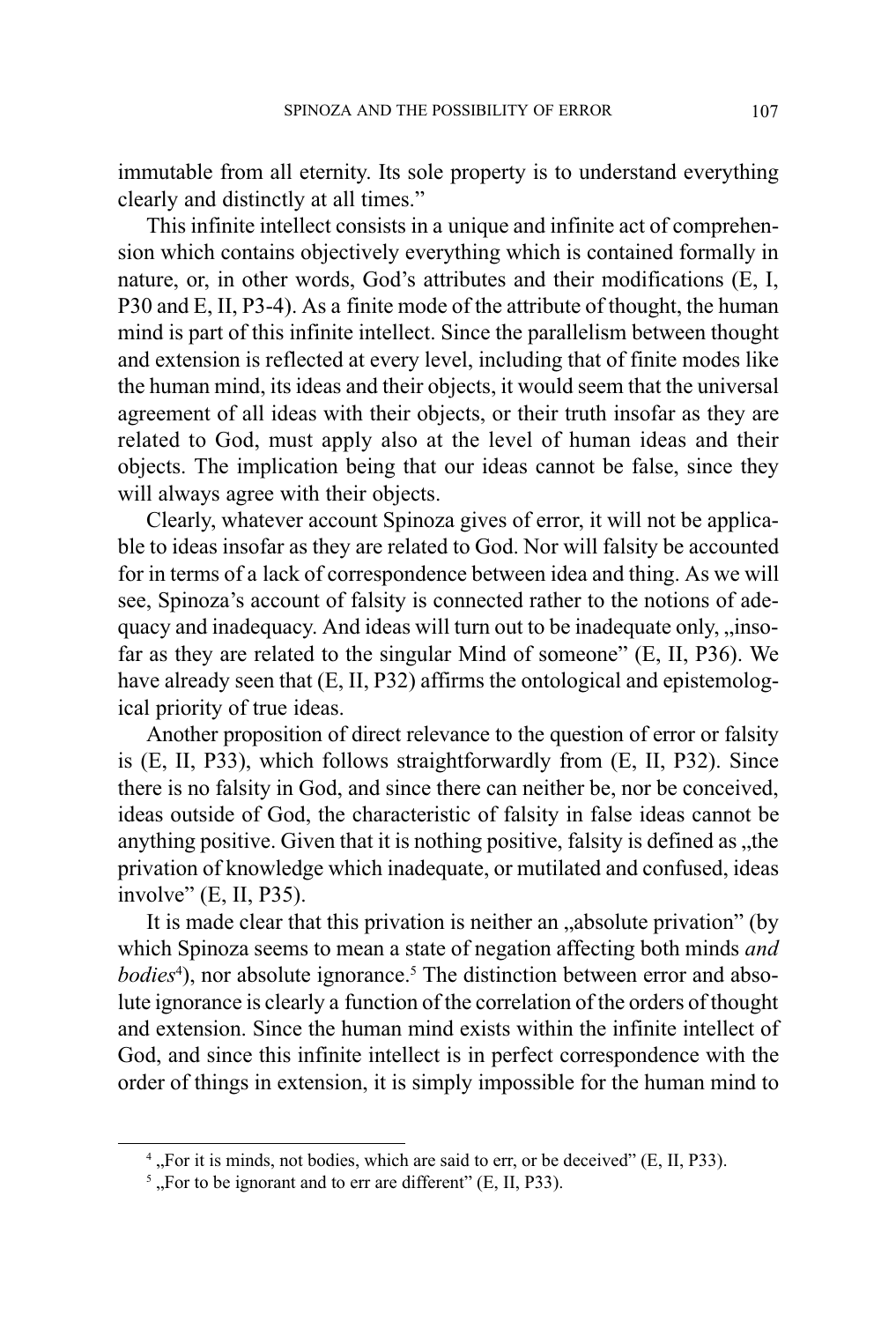immutable from all eternity. Its sole property is to understand everything clearly and distinctly at all times.

This infinite intellect consists in a unique and infinite act of comprehension which contains objectively everything which is contained formally in nature, or, in other words, God's attributes and their modifications (E, I, P30 and E, II, P3-4). As a finite mode of the attribute of thought, the human mind is part of this infinite intellect. Since the parallelism between thought and extension is reflected at every level, including that of finite modes like the human mind, its ideas and their objects, it would seem that the universal agreement of all ideas with their objects, or their truth insofar as they are related to God, must apply also at the level of human ideas and their objects. The implication being that our ideas cannot be false, since they will always agree with their objects.

Clearly, whatever account Spinoza gives of error, it will not be applicable to ideas insofar as they are related to God. Nor will falsity be accounted for in terms of a lack of correspondence between idea and thing. As we will see, Spinoza's account of falsity is connected rather to the notions of adequacy and inadequacy. And ideas will turn out to be inadequate only, "insofar as they are related to the singular Mind of someone"  $(E, II, P36)$ . We have already seen that (E, II, P32) affirms the ontological and epistemological priority of true ideas.

Another proposition of direct relevance to the question of error or falsity is (E, II, P33), which follows straightforwardly from (E, II, P32). Since there is no falsity in God, and since there can neither be, nor be conceived, ideas outside of God, the characteristic of falsity in false ideas cannot be anything positive. Given that it is nothing positive, falsity is defined as  $x$ , the privation of knowledge which inadequate, or mutilated and confused, ideas involve"  $(E, II, P35)$ .

It is made clear that this privation is neither an "absolute privation" (by which Spinoza seems to mean a state of negation affecting both minds *and* bodies<sup>4</sup>), nor absolute ignorance.<sup>5</sup> The distinction between error and absolute ignorance is clearly a function of the correlation of the orders of thought and extension. Since the human mind exists within the infinite intellect of God, and since this infinite intellect is in perfect correspondence with the order of things in extension, it is simply impossible for the human mind to

 $<sup>4</sup>$ , For it is minds, not bodies, which are said to err, or be deceived" (E, II, P33).</sup>

 $<sup>5</sup>$ , For to be ignorant and to err are different" (E, II, P33).</sup>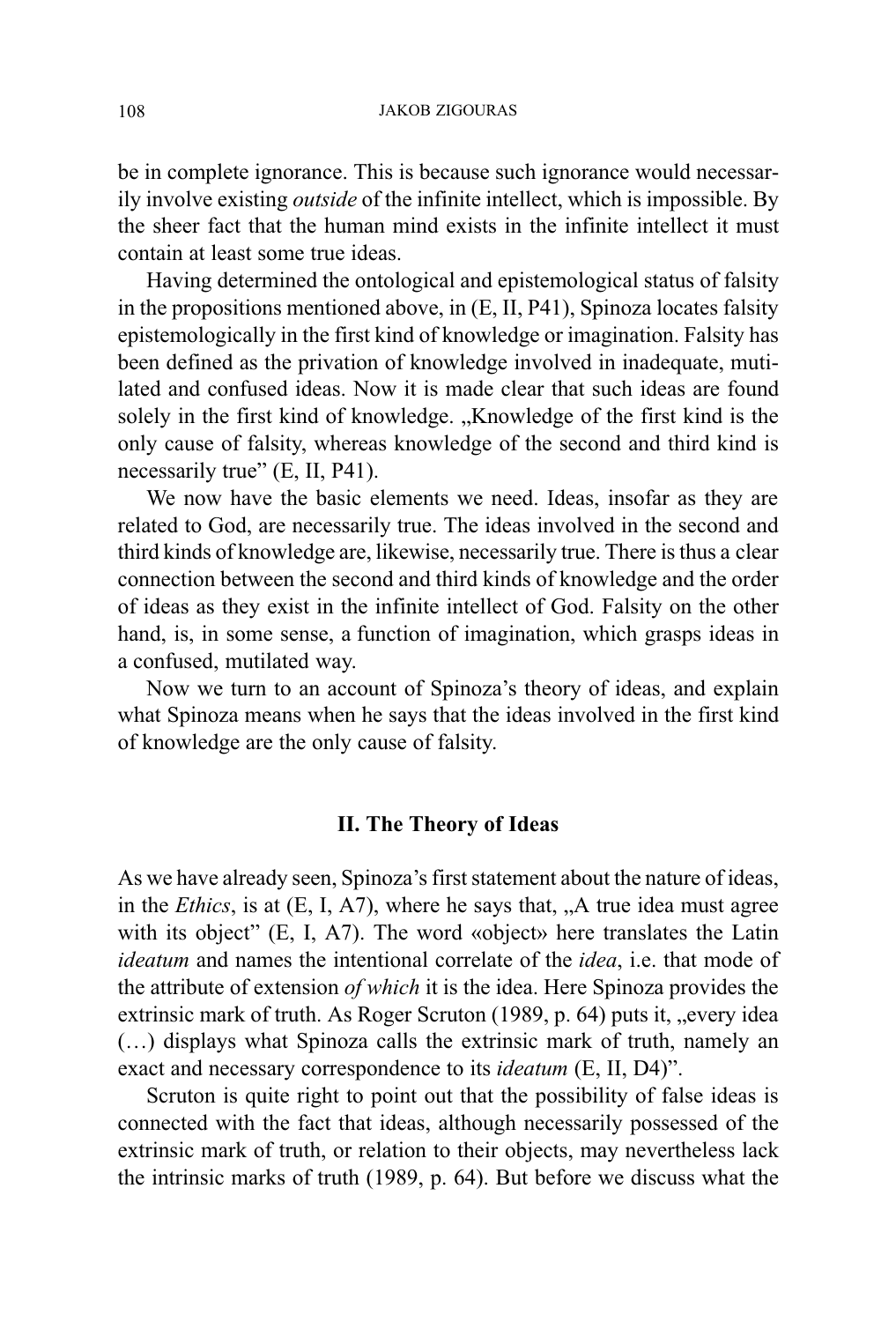be in complete ignorance. This is because such ignorance would necessarily involve existing outside of the infinite intellect, which is impossible. By the sheer fact that the human mind exists in the infinite intellect it must contain at least some true ideas.

Having determined the ontological and epistemological status of falsity in the propositions mentioned above, in (E, II, P41), Spinoza locates falsity epistemologically in the first kind of knowledge or imagination. Falsity has been defined as the privation of knowledge involved in inadequate, mutilated and confused ideas. Now it is made clear that such ideas are found solely in the first kind of knowledge. "Knowledge of the first kind is the only cause of falsity, whereas knowledge of the second and third kind is necessarily true"  $(E, II, P41)$ .

We now have the basic elements we need. Ideas, insofar as they are related to God, are necessarily true. The ideas involved in the second and third kinds of knowledge are, likewise, necessarily true. There is thus a clear connection between the second and third kinds of knowledge and the order of ideas as they exist in the infinite intellect of God. Falsity on the other hand, is, in some sense, a function of imagination, which grasps ideas in a confused, mutilated way.

Now we turn to an account of Spinoza's theory of ideas, and explain what Spinoza means when he says that the ideas involved in the first kind of knowledge are the only cause of falsity.

## II. The Theory of Ideas

As we have already seen, Spinoza's first statement about the nature of ideas, in the *Ethics*, is at  $(E, I, A7)$ , where he says that, "A true idea must agree with its object"  $(E, I, A7)$ . The word «object» here translates the Latin ideatum and names the intentional correlate of the *idea*, i.e. that mode of the attribute of extension of which it is the idea. Here Spinoza provides the extrinsic mark of truth. As Roger Scruton (1989, p. 64) puts it, "every idea (...) displays what Spinoza calls the extrinsic mark of truth, namely an exact and necessary correspondence to its *ideatum* (E, II, D4)".

Scruton is quite right to point out that the possibility of false ideas is connected with the fact that ideas, although necessarily possessed of the extrinsic mark of truth, or relation to their objects, may nevertheless lack the intrinsic marks of truth (1989, p. 64). But before we discuss what the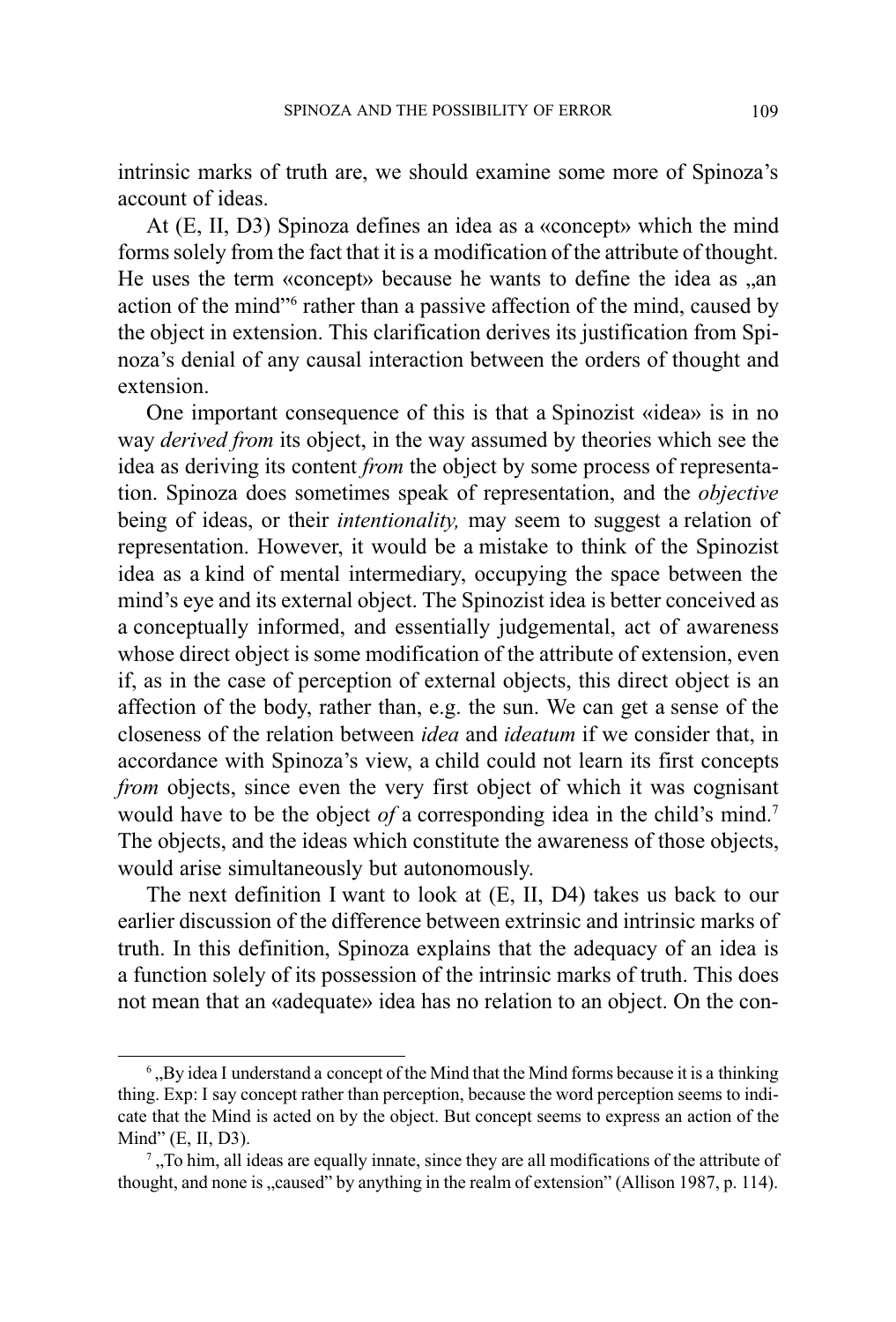intrinsic marks of truth are, we should examine some more of Spinoza's account of ideas.

At (E, II, D3) Spinoza defines an idea as a «concept» which the mind forms solely from the fact that it is a modification of the attribute of thought. He uses the term «concept» because he wants to define the idea as ..an action of the mind"<sup>6</sup> rather than a passive affection of the mind, caused by the object in extension. This clarification derives its justification from Spinoza's denial of any causal interaction between the orders of thought and extension.

One important consequence of this is that a Spinozist «idea» is in no way *derived from* its object, in the way assumed by theories which see the idea as deriving its content from the object by some process of representation. Spinoza does sometimes speak of representation, and the objective being of ideas, or their *intentionality*, may seem to suggest a relation of representation. However, it would be a mistake to think of the Spinozist idea as a kind of mental intermediary, occupying the space between the mind's eye and its external object. The Spinozist idea is better conceived as a conceptually informed, and essentially judgemental, act of awareness whose direct object is some modification of the attribute of extension, even if, as in the case of perception of external objects, this direct object is an affection of the body, rather than, e.g. the sun. We can get a sense of the closeness of the relation between idea and ideatum if we consider that, in accordance with Spinoza's view, a child could not learn its first concepts from objects, since even the very first object of which it was cognisant would have to be the object of a corresponding idea in the child's mind.<sup>7</sup> The objects, and the ideas which constitute the awareness of those objects, would arise simultaneously but autonomously.

The next definition I want to look at (E, II, D4) takes us back to our earlier discussion of the difference between extrinsic and intrinsic marks of truth. In this definition, Spinoza explains that the adequacy of an idea is a function solely of its possession of the intrinsic marks of truth. This does not mean that an «adequate» idea has no relation to an object. On the con-

 $<sup>6</sup>$ , By idea I understand a concept of the Mind that the Mind forms because it is a thinking</sup> thing. Exp: I say concept rather than perception, because the word perception seems to indicate that the Mind is acted on by the object. But concept seems to express an action of the Mind"  $(E, II, D3)$ .

 $<sup>7</sup>$ , To him, all ideas are equally innate, since they are all modifications of the attribute of</sup> thought, and none is  $\alpha$  caused" by anything in the realm of extension" (Allison 1987, p. 114).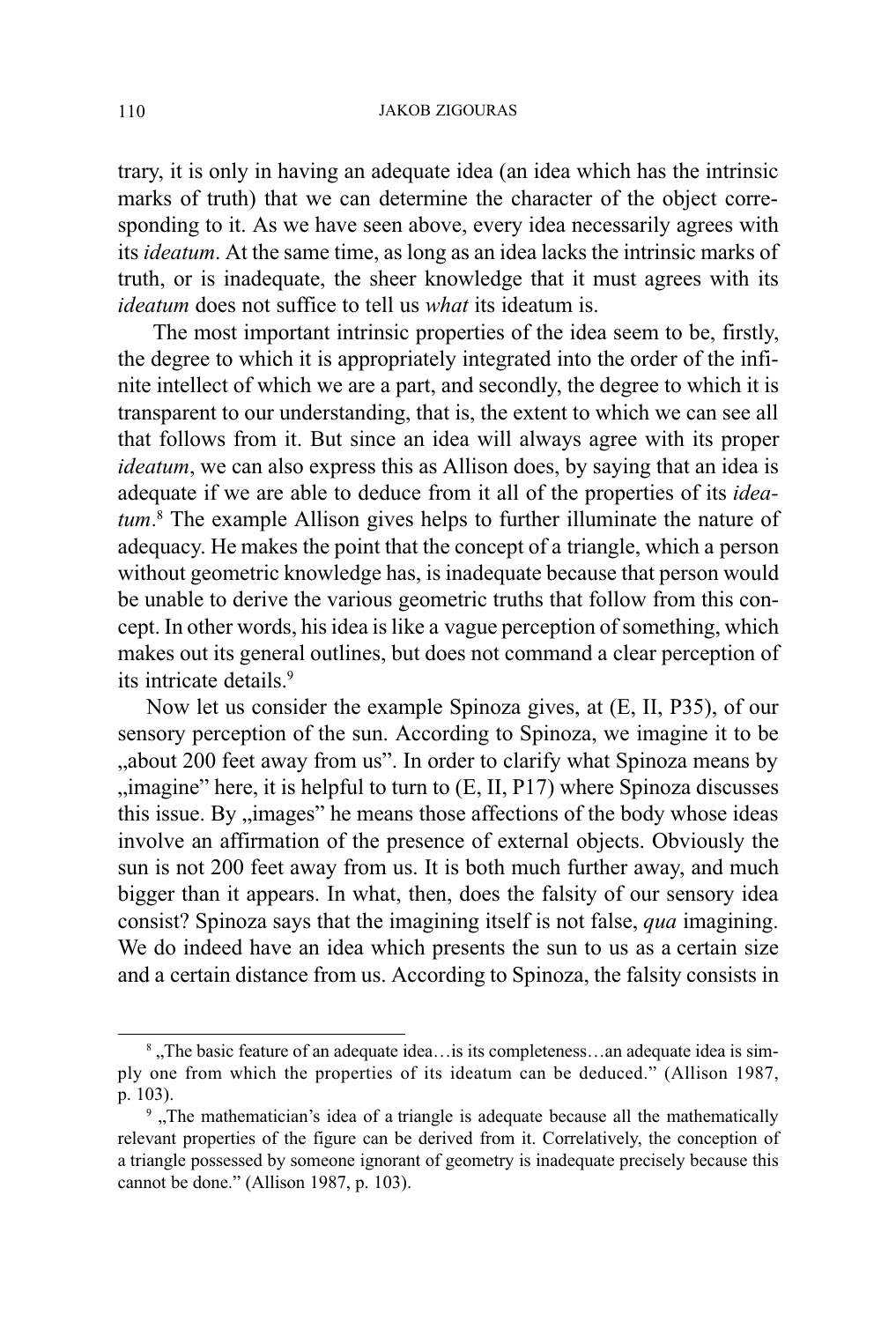trary, it is only in having an adequate idea (an idea which has the intrinsic marks of truth) that we can determine the character of the object corresponding to it. As we have seen above, every idea necessarily agrees with its ideatum. At the same time, as long as an idea lacks the intrinsic marks of truth, or is inadequate, the sheer knowledge that it must agrees with its ideatum does not suffice to tell us what its ideatum is.

 The most important intrinsic properties of the idea seem to be, firstly, the degree to which it is appropriately integrated into the order of the infinite intellect of which we are a part, and secondly, the degree to which it is transparent to our understanding, that is, the extent to which we can see all that follows from it. But since an idea will always agree with its proper ideatum, we can also express this as Allison does, by saying that an idea is adequate if we are able to deduce from it all of the properties of its ideatum.<sup>8</sup> The example Allison gives helps to further illuminate the nature of adequacy. He makes the point that the concept of a triangle, which a person without geometric knowledge has, is inadequate because that person would be unable to derive the various geometric truths that follow from this concept. In other words, his idea is like a vague perception of something, which makes out its general outlines, but does not command a clear perception of its intricate details.9

Now let us consider the example Spinoza gives, at (E, II, P35), of our sensory perception of the sun. According to Spinoza, we imagine it to be about 200 feet away from us". In order to clarify what Spinoza means by  $\mu$ ; imagine" here, it is helpful to turn to  $(E, II, P17)$  where Spinoza discusses this issue. By "images" he means those affections of the body whose ideas involve an affirmation of the presence of external objects. Obviously the sun is not 200 feet away from us. It is both much further away, and much bigger than it appears. In what, then, does the falsity of our sensory idea consist? Spinoza says that the imagining itself is not false, qua imagining. We do indeed have an idea which presents the sun to us as a certain size and a certain distance from us. According to Spinoza, the falsity consists in

<sup>&</sup>lt;sup>8</sup>, The basic feature of an adequate idea... is its completeness... an adequate idea is simply one from which the properties of its ideatum can be deduced. (Allison 1987, p. 103).

<sup>&</sup>lt;sup>9</sup>, The mathematician's idea of a triangle is adequate because all the mathematically relevant properties of the figure can be derived from it. Correlatively, the conception of a triangle possessed by someone ignorant of geometry is inadequate precisely because this cannot be done." (Allison 1987, p. 103).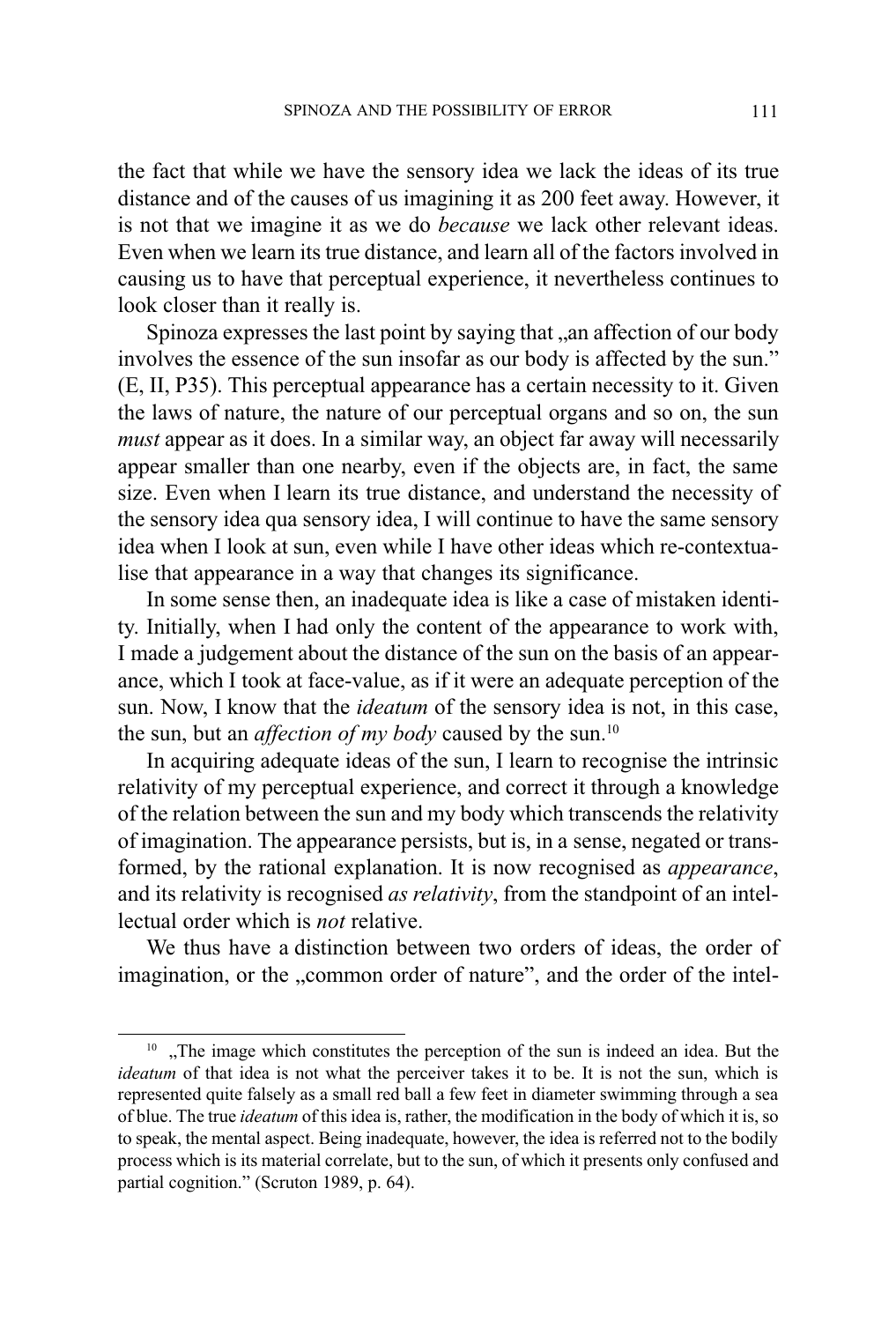the fact that while we have the sensory idea we lack the ideas of its true distance and of the causes of us imagining it as 200 feet away. However, it is not that we imagine it as we do because we lack other relevant ideas. Even when we learn its true distance, and learn all of the factors involved in causing us to have that perceptual experience, it nevertheless continues to look closer than it really is.

Spinoza expresses the last point by saying that ..an affection of our body involves the essence of the sun insofar as our body is affected by the sun. (E, II, P35). This perceptual appearance has a certain necessity to it. Given the laws of nature, the nature of our perceptual organs and so on, the sun must appear as it does. In a similar way, an object far away will necessarily appear smaller than one nearby, even if the objects are, in fact, the same size. Even when I learn its true distance, and understand the necessity of the sensory idea qua sensory idea, I will continue to have the same sensory idea when I look at sun, even while I have other ideas which re-contextualise that appearance in a way that changes its significance.

In some sense then, an inadequate idea is like a case of mistaken identity. Initially, when I had only the content of the appearance to work with, I made a judgement about the distance of the sun on the basis of an appearance, which I took at face-value, as if it were an adequate perception of the sun. Now, I know that the ideatum of the sensory idea is not, in this case, the sun, but an *affection of my body* caused by the sun.<sup>10</sup>

In acquiring adequate ideas of the sun, I learn to recognise the intrinsic relativity of my perceptual experience, and correct it through a knowledge of the relation between the sun and my body which transcends the relativity of imagination. The appearance persists, but is, in a sense, negated or transformed, by the rational explanation. It is now recognised as appearance, and its relativity is recognised *as relativity*, from the standpoint of an intellectual order which is not relative.

We thus have a distinction between two orders of ideas, the order of imagination, or the "common order of nature", and the order of the intel-

<sup>&</sup>lt;sup>10</sup> "The image which constitutes the perception of the sun is indeed an idea. But the ideatum of that idea is not what the perceiver takes it to be. It is not the sun, which is represented quite falsely as a small red ball a few feet in diameter swimming through a sea of blue. The true ideatum of this idea is, rather, the modification in the body of which it is, so to speak, the mental aspect. Being inadequate, however, the idea is referred not to the bodily process which is its material correlate, but to the sun, of which it presents only confused and partial cognition." (Scruton 1989, p. 64).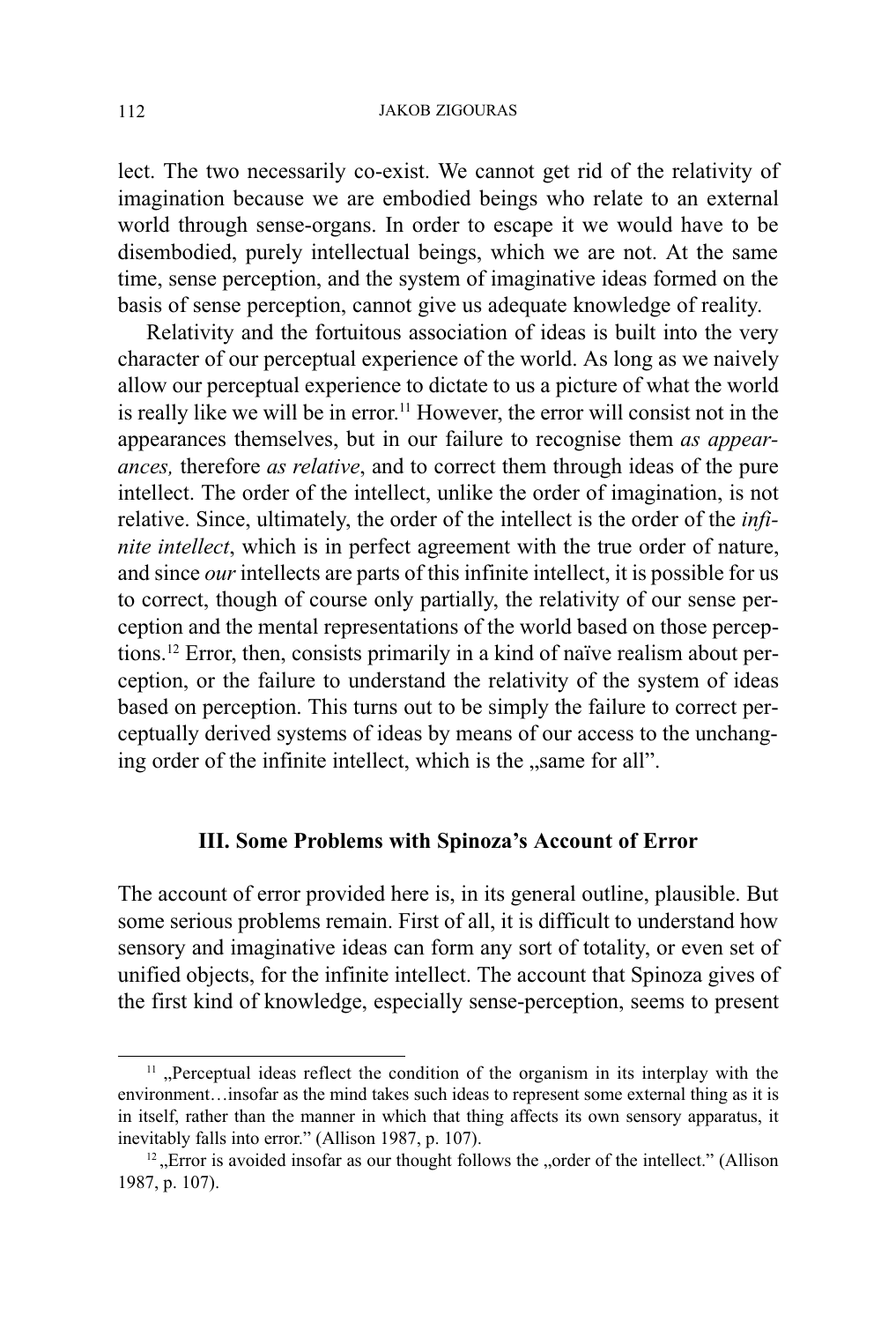#### JAKOB ZIGOURAS

lect. The two necessarily co-exist. We cannot get rid of the relativity of imagination because we are embodied beings who relate to an external world through sense-organs. In order to escape it we would have to be disembodied, purely intellectual beings, which we are not. At the same time, sense perception, and the system of imaginative ideas formed on the basis of sense perception, cannot give us adequate knowledge of reality.

Relativity and the fortuitous association of ideas is built into the very character of our perceptual experience of the world. As long as we naively allow our perceptual experience to dictate to us a picture of what the world is really like we will be in error.<sup>11</sup> However, the error will consist not in the appearances themselves, but in our failure to recognise them as appearances, therefore as relative, and to correct them through ideas of the pure intellect. The order of the intellect, unlike the order of imagination, is not relative. Since, ultimately, the order of the intellect is the order of the infinite intellect, which is in perfect agreement with the true order of nature, and since our intellects are parts of this infinite intellect, it is possible for us to correct, though of course only partially, the relativity of our sense perception and the mental representations of the world based on those perceptions.12 Error, then, consists primarily in a kind of naïve realism about perception, or the failure to understand the relativity of the system of ideas based on perception. This turns out to be simply the failure to correct perceptually derived systems of ideas by means of our access to the unchanging order of the infinite intellect, which is the "same for all".

## III. Some Problems with Spinoza's Account of Error

The account of error provided here is, in its general outline, plausible. But some serious problems remain. First of all, it is difficult to understand how sensory and imaginative ideas can form any sort of totality, or even set of unified objects, for the infinite intellect. The account that Spinoza gives of the first kind of knowledge, especially sense-perception, seems to present

 $11$ , Perceptual ideas reflect the condition of the organism in its interplay with the environment... insofar as the mind takes such ideas to represent some external thing as it is in itself, rather than the manner in which that thing affects its own sensory apparatus, it inevitably falls into error." (Allison 1987, p. 107).

<sup>&</sup>lt;sup>12</sup>, Error is avoided insofar as our thought follows the , order of the intellect." (Allison 1987, p. 107).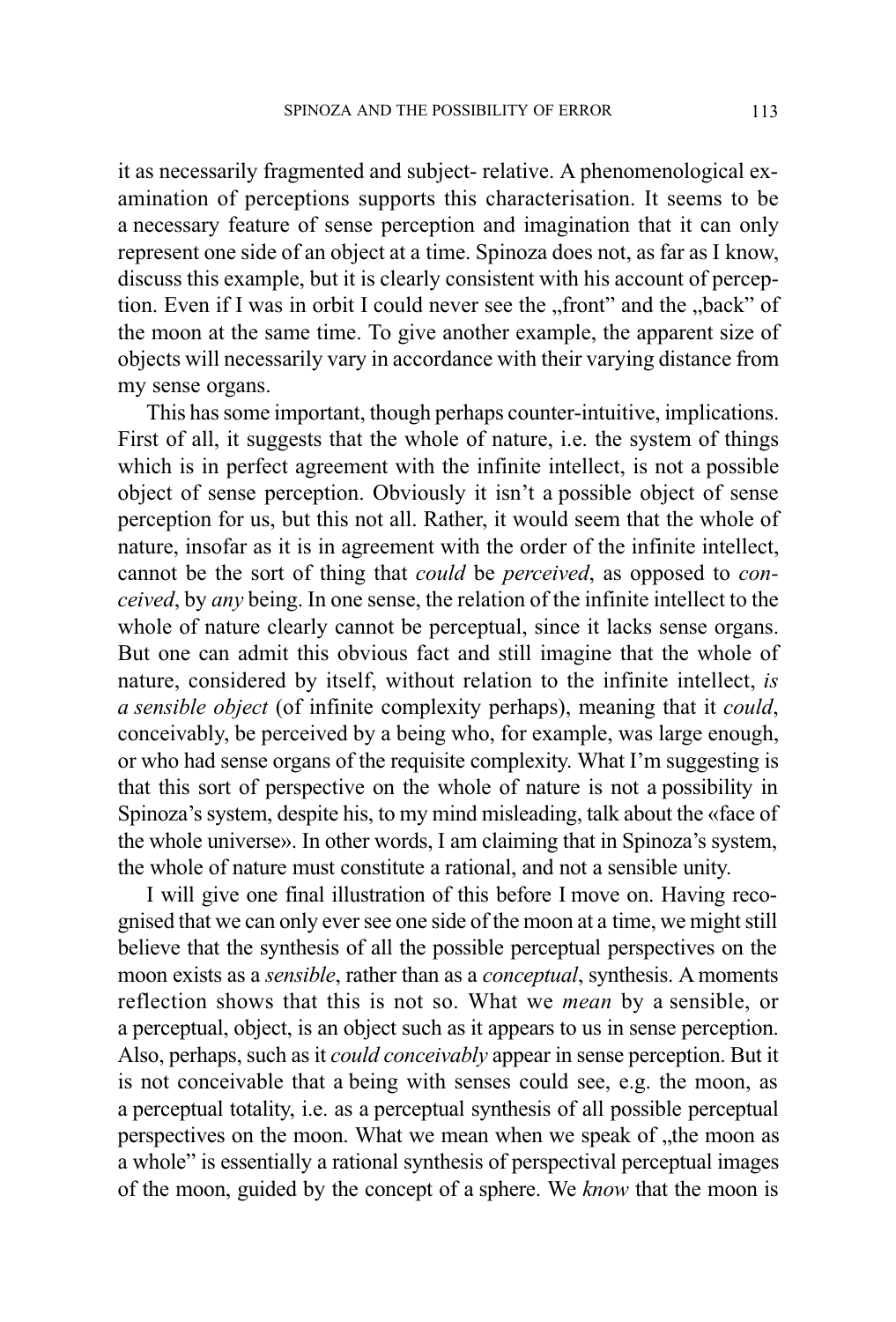it as necessarily fragmented and subject- relative. A phenomenological examination of perceptions supports this characterisation. It seems to be a necessary feature of sense perception and imagination that it can only represent one side of an object at a time. Spinoza does not, as far as I know, discuss this example, but it is clearly consistent with his account of perception. Even if I was in orbit I could never see the "front" and the "back" of the moon at the same time. To give another example, the apparent size of objects will necessarily vary in accordance with their varying distance from my sense organs.

This has some important, though perhaps counter-intuitive, implications. First of all, it suggests that the whole of nature, i.e. the system of things which is in perfect agreement with the infinite intellect, is not a possible object of sense perception. Obviously it isn't a possible object of sense perception for us, but this not all. Rather, it would seem that the whole of nature, insofar as it is in agreement with the order of the infinite intellect, cannot be the sort of thing that could be perceived, as opposed to conceived, by any being. In one sense, the relation of the infinite intellect to the whole of nature clearly cannot be perceptual, since it lacks sense organs. But one can admit this obvious fact and still imagine that the whole of nature, considered by itself, without relation to the infinite intellect, is a sensible object (of infinite complexity perhaps), meaning that it could, conceivably, be perceived by a being who, for example, was large enough, or who had sense organs of the requisite complexity. What I'm suggesting is that this sort of perspective on the whole of nature is not a possibility in Spinoza's system, despite his, to my mind misleading, talk about the «face of the whole universe». In other words, I am claiming that in Spinoza's system, the whole of nature must constitute a rational, and not a sensible unity.

I will give one final illustration of this before I move on. Having recognised that we can only ever see one side of the moon at a time, we might still believe that the synthesis of all the possible perceptual perspectives on the moon exists as a sensible, rather than as a conceptual, synthesis. A moments reflection shows that this is not so. What we mean by a sensible, or a perceptual, object, is an object such as it appears to us in sense perception. Also, perhaps, such as it could conceivably appear in sense perception. But it is not conceivable that a being with senses could see, e.g. the moon, as a perceptual totality, i.e. as a perceptual synthesis of all possible perceptual perspectives on the moon. What we mean when we speak of "the moon as a whole" is essentially a rational synthesis of perspectival perceptual images of the moon, guided by the concept of a sphere. We know that the moon is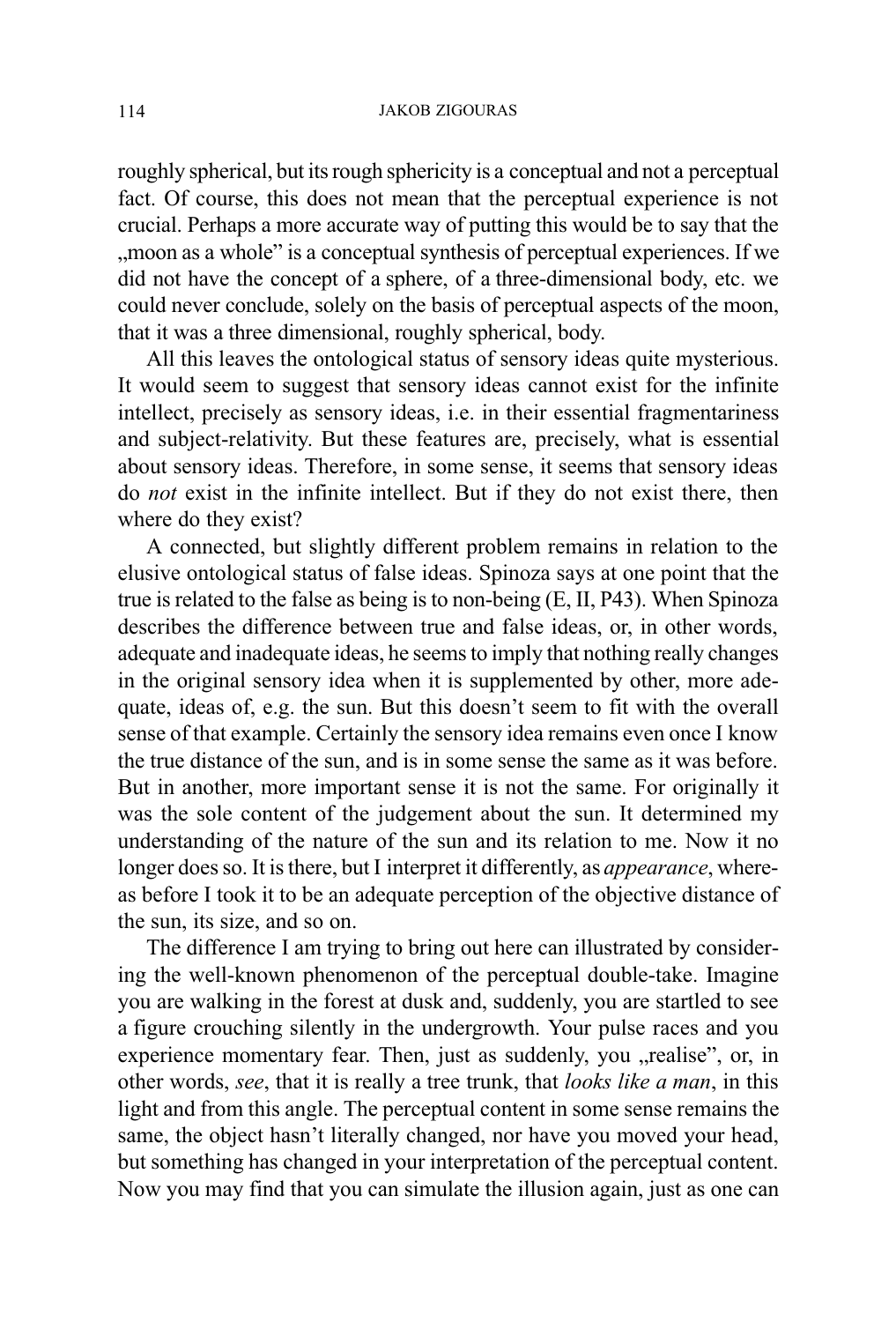roughly spherical, but its rough sphericity is a conceptual and not a perceptual fact. Of course, this does not mean that the perceptual experience is not crucial. Perhaps a more accurate way of putting this would be to say that the moon as a whole" is a conceptual synthesis of perceptual experiences. If we did not have the concept of a sphere, of a three-dimensional body, etc. we could never conclude, solely on the basis of perceptual aspects of the moon, that it was a three dimensional, roughly spherical, body.

All this leaves the ontological status of sensory ideas quite mysterious. It would seem to suggest that sensory ideas cannot exist for the infinite intellect, precisely as sensory ideas, i.e. in their essential fragmentariness and subject-relativity. But these features are, precisely, what is essential about sensory ideas. Therefore, in some sense, it seems that sensory ideas do not exist in the infinite intellect. But if they do not exist there, then where do they exist?

A connected, but slightly different problem remains in relation to the elusive ontological status of false ideas. Spinoza says at one point that the true is related to the false as being is to non-being (E, II, P43). When Spinoza describes the difference between true and false ideas, or, in other words, adequate and inadequate ideas, he seems to imply that nothing really changes in the original sensory idea when it is supplemented by other, more adequate, ideas of, e.g. the sun. But this doesn't seem to fit with the overall sense of that example. Certainly the sensory idea remains even once I know the true distance of the sun, and is in some sense the same as it was before. But in another, more important sense it is not the same. For originally it was the sole content of the judgement about the sun. It determined my understanding of the nature of the sun and its relation to me. Now it no longer does so. It is there, but I interpret it differently, as *appearance*, whereas before I took it to be an adequate perception of the objective distance of the sun, its size, and so on.

The difference I am trying to bring out here can illustrated by considering the well-known phenomenon of the perceptual double-take. Imagine you are walking in the forest at dusk and, suddenly, you are startled to see a figure crouching silently in the undergrowth. Your pulse races and you experience momentary fear. Then, just as suddenly, you "realise", or, in other words, see, that it is really a tree trunk, that looks like a man, in this light and from this angle. The perceptual content in some sense remains the same, the object hasn't literally changed, nor have you moved your head, but something has changed in your interpretation of the perceptual content. Now you may find that you can simulate the illusion again, just as one can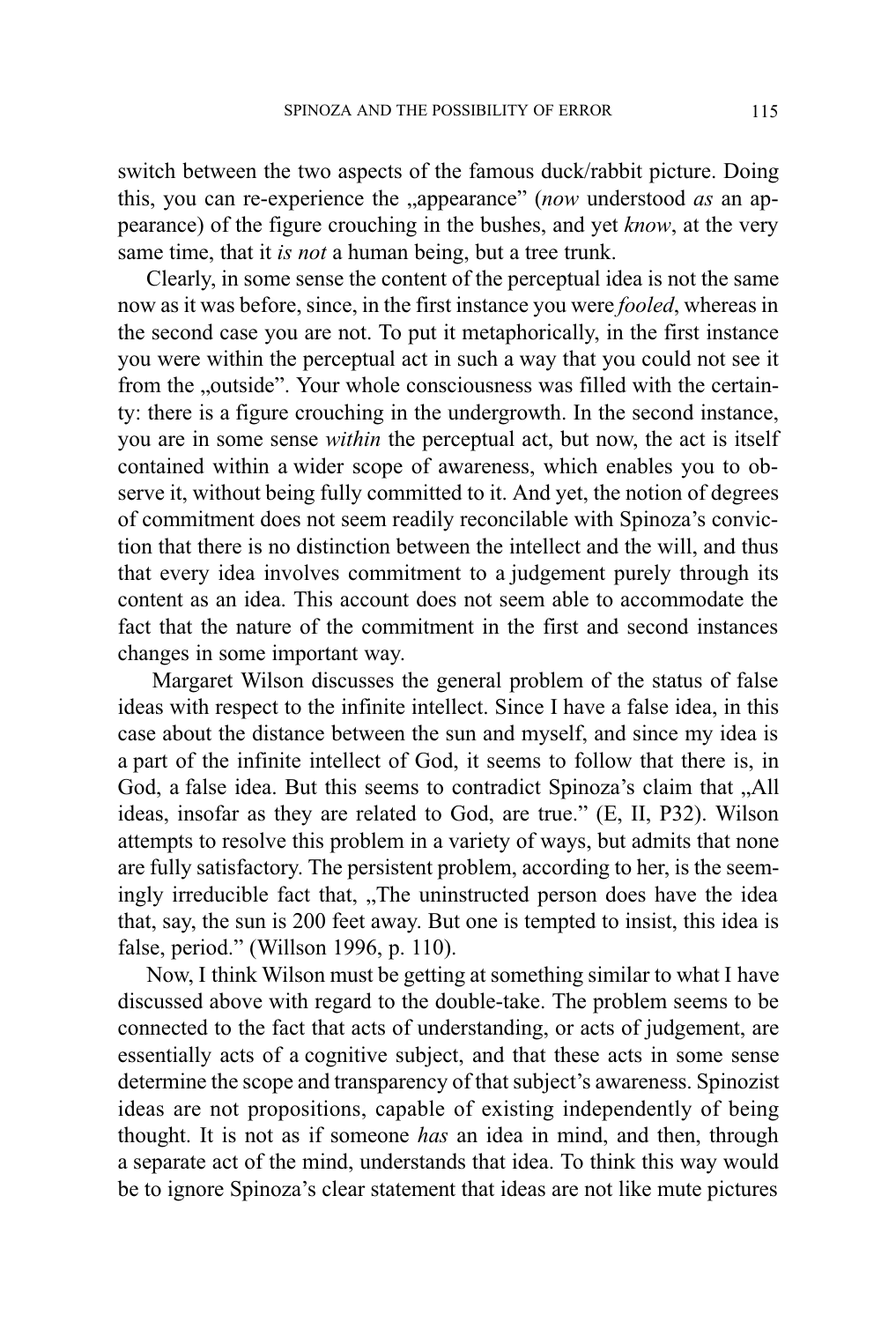switch between the two aspects of the famous duck/rabbit picture. Doing this, you can re-experience the "appearance" (now understood  $as$  an appearance) of the figure crouching in the bushes, and yet know, at the very same time, that it *is not* a human being, but a tree trunk.

Clearly, in some sense the content of the perceptual idea is not the same now as it was before, since, in the first instance you were fooled, whereas in the second case you are not. To put it metaphorically, in the first instance you were within the perceptual act in such a way that you could not see it from the "outside". Your whole consciousness was filled with the certainty: there is a figure crouching in the undergrowth. In the second instance, you are in some sense within the perceptual act, but now, the act is itself contained within a wider scope of awareness, which enables you to observe it, without being fully committed to it. And yet, the notion of degrees of commitment does not seem readily reconcilable with Spinoza's conviction that there is no distinction between the intellect and the will, and thus that every idea involves commitment to a judgement purely through its content as an idea. This account does not seem able to accommodate the fact that the nature of the commitment in the first and second instances changes in some important way.

 Margaret Wilson discusses the general problem of the status of false ideas with respect to the infinite intellect. Since I have a false idea, in this case about the distance between the sun and myself, and since my idea is a part of the infinite intellect of God, it seems to follow that there is, in God, a false idea. But this seems to contradict Spinoza's claim that "All ideas, insofar as they are related to God, are true." (E, II, P32). Wilson attempts to resolve this problem in a variety of ways, but admits that none are fully satisfactory. The persistent problem, according to her, is the seemingly irreducible fact that, "The uninstructed person does have the idea that, say, the sun is 200 feet away. But one is tempted to insist, this idea is false, period." (Willson 1996, p. 110).

Now, I think Wilson must be getting at something similar to what I have discussed above with regard to the double-take. The problem seems to be connected to the fact that acts of understanding, or acts of judgement, are essentially acts of a cognitive subject, and that these acts in some sense determine the scope and transparency of that subject's awareness. Spinozist ideas are not propositions, capable of existing independently of being thought. It is not as if someone has an idea in mind, and then, through a separate act of the mind, understands that idea. To think this way would be to ignore Spinoza's clear statement that ideas are not like mute pictures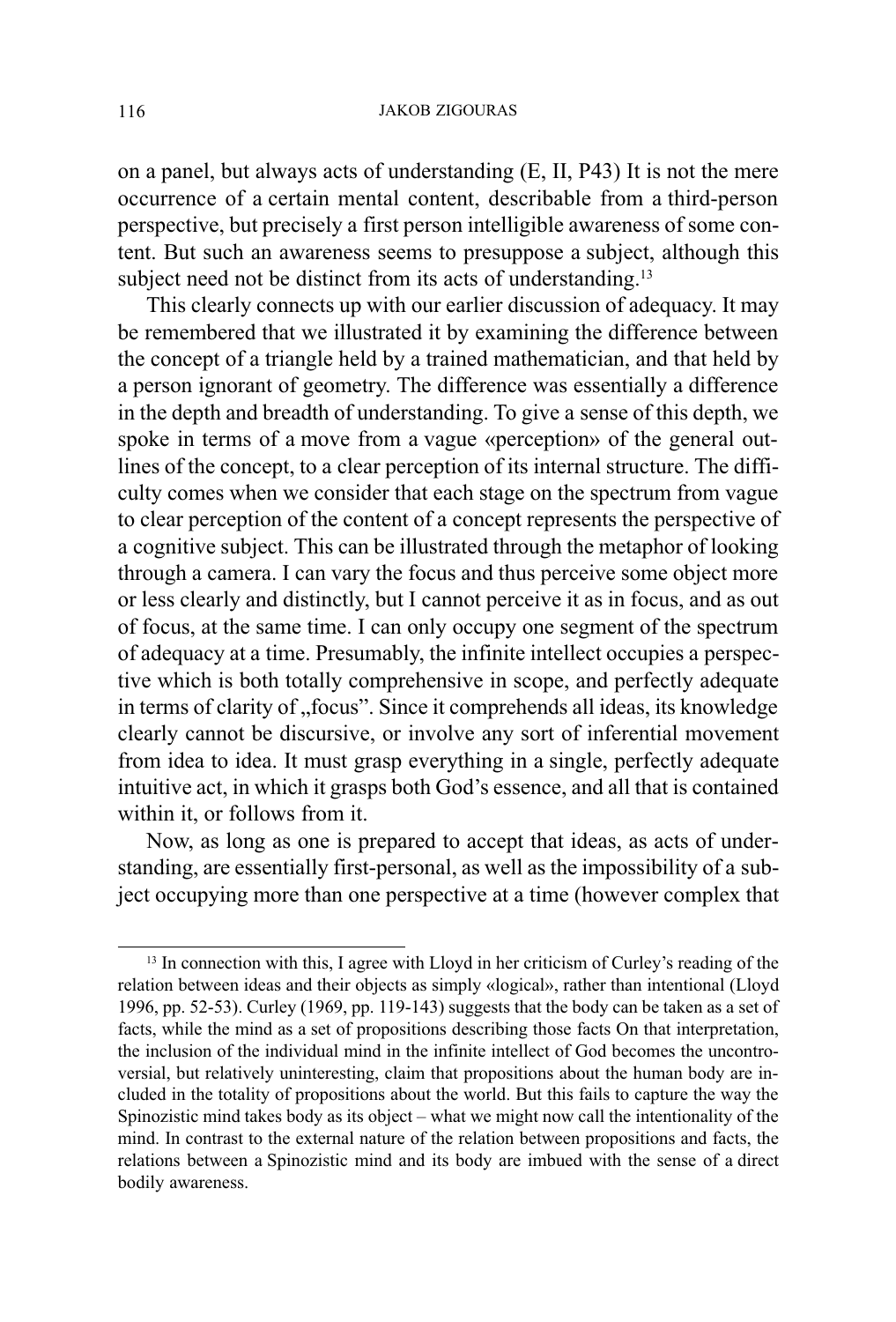#### JAKOB ZIGOURAS

on a panel, but always acts of understanding (E, II, P43) It is not the mere occurrence of a certain mental content, describable from a third-person perspective, but precisely a first person intelligible awareness of some content. But such an awareness seems to presuppose a subject, although this subject need not be distinct from its acts of understanding.<sup>13</sup>

This clearly connects up with our earlier discussion of adequacy. It may be remembered that we illustrated it by examining the difference between the concept of a triangle held by a trained mathematician, and that held by a person ignorant of geometry. The difference was essentially a difference in the depth and breadth of understanding. To give a sense of this depth, we spoke in terms of a move from a vague «perception» of the general outlines of the concept, to a clear perception of its internal structure. The difficulty comes when we consider that each stage on the spectrum from vague to clear perception of the content of a concept represents the perspective of a cognitive subject. This can be illustrated through the metaphor of looking through a camera. I can vary the focus and thus perceive some object more or less clearly and distinctly, but I cannot perceive it as in focus, and as out of focus, at the same time. I can only occupy one segment of the spectrum of adequacy at a time. Presumably, the infinite intellect occupies a perspective which is both totally comprehensive in scope, and perfectly adequate in terms of clarity of "focus". Since it comprehends all ideas, its knowledge clearly cannot be discursive, or involve any sort of inferential movement from idea to idea. It must grasp everything in a single, perfectly adequate intuitive act, in which it grasps both God's essence, and all that is contained within it, or follows from it.

Now, as long as one is prepared to accept that ideas, as acts of understanding, are essentially first-personal, as well as the impossibility of a subject occupying more than one perspective at a time (however complex that

 $13$  In connection with this, I agree with Lloyd in her criticism of Curley's reading of the relation between ideas and their objects as simply «logical», rather than intentional (Lloyd 1996, pp. 52-53). Curley (1969, pp. 119-143) suggests that the body can be taken as a set of facts, while the mind as a set of propositions describing those facts On that interpretation, the inclusion of the individual mind in the infinite intellect of God becomes the uncontroversial, but relatively uninteresting, claim that propositions about the human body are included in the totality of propositions about the world. But this fails to capture the way the Spinozistic mind takes body as its object  $-$  what we might now call the intentionality of the mind. In contrast to the external nature of the relation between propositions and facts, the relations between a Spinozistic mind and its body are imbued with the sense of a direct bodily awareness.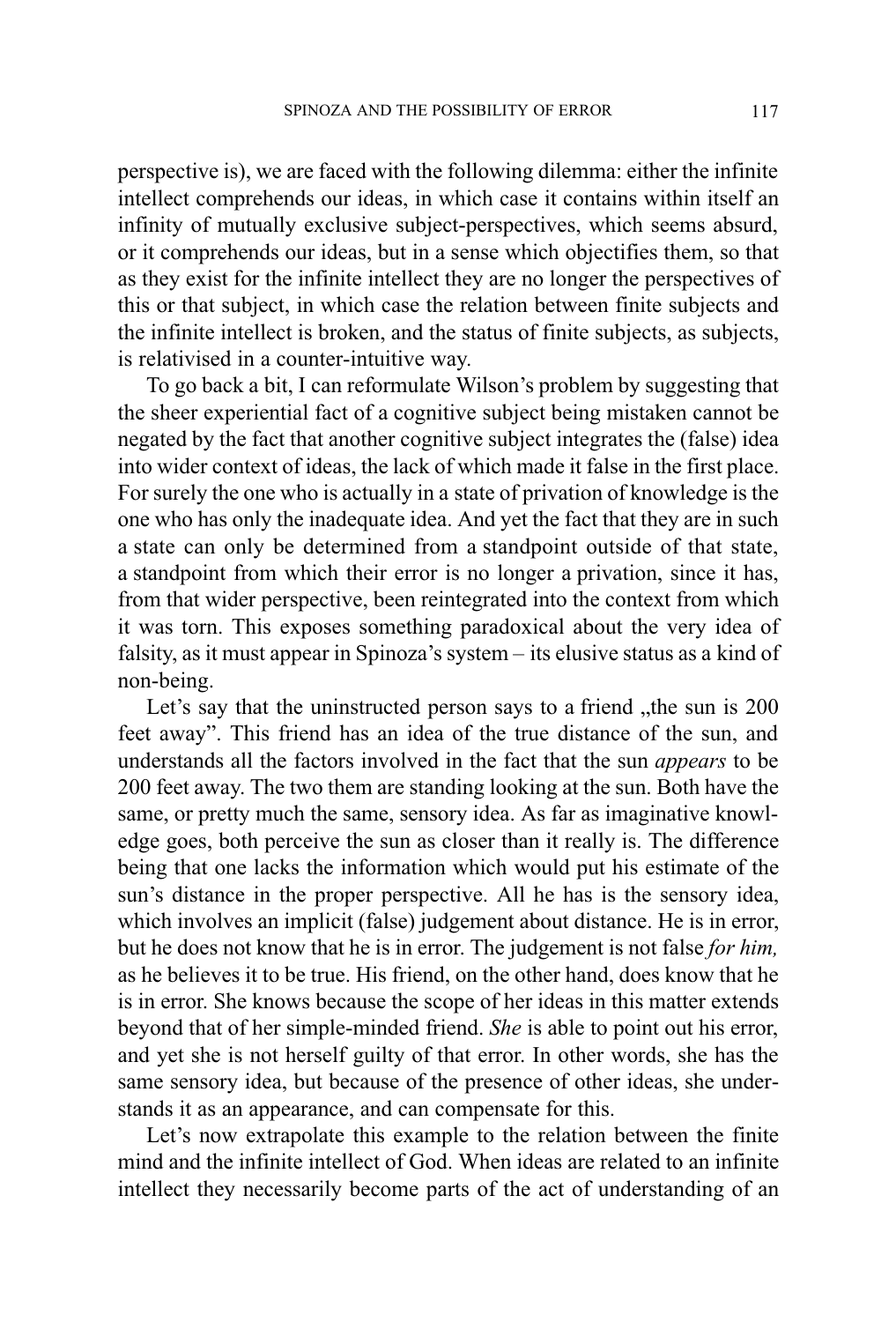perspective is), we are faced with the following dilemma: either the infinite intellect comprehends our ideas, in which case it contains within itself an infinity of mutually exclusive subject-perspectives, which seems absurd, or it comprehends our ideas, but in a sense which objectifies them, so that as they exist for the infinite intellect they are no longer the perspectives of this or that subject, in which case the relation between finite subjects and the infinite intellect is broken, and the status of finite subjects, as subjects, is relativised in a counter-intuitive way.

To go back a bit, I can reformulate Wilson's problem by suggesting that the sheer experiential fact of a cognitive subject being mistaken cannot be negated by the fact that another cognitive subject integrates the (false) idea into wider context of ideas, the lack of which made it false in the first place. For surely the one who is actually in a state of privation of knowledge is the one who has only the inadequate idea. And yet the fact that they are in such a state can only be determined from a standpoint outside of that state, a standpoint from which their error is no longer a privation, since it has, from that wider perspective, been reintegrated into the context from which it was torn. This exposes something paradoxical about the very idea of falsity, as it must appear in Spinoza's system  $-$  its elusive status as a kind of non-being.

Let's say that the uninstructed person says to a friend "the sun is 200 feet away". This friend has an idea of the true distance of the sun, and understands all the factors involved in the fact that the sun appears to be 200 feet away. The two them are standing looking at the sun. Both have the same, or pretty much the same, sensory idea. As far as imaginative knowledge goes, both perceive the sun as closer than it really is. The difference being that one lacks the information which would put his estimate of the sun's distance in the proper perspective. All he has is the sensory idea, which involves an implicit (false) judgement about distance. He is in error, but he does not know that he is in error. The judgement is not false for him, as he believes it to be true. His friend, on the other hand, does know that he is in error. She knows because the scope of her ideas in this matter extends beyond that of her simple-minded friend. She is able to point out his error, and yet she is not herself guilty of that error. In other words, she has the same sensory idea, but because of the presence of other ideas, she understands it as an appearance, and can compensate for this.

Let's now extrapolate this example to the relation between the finite mind and the infinite intellect of God. When ideas are related to an infinite intellect they necessarily become parts of the act of understanding of an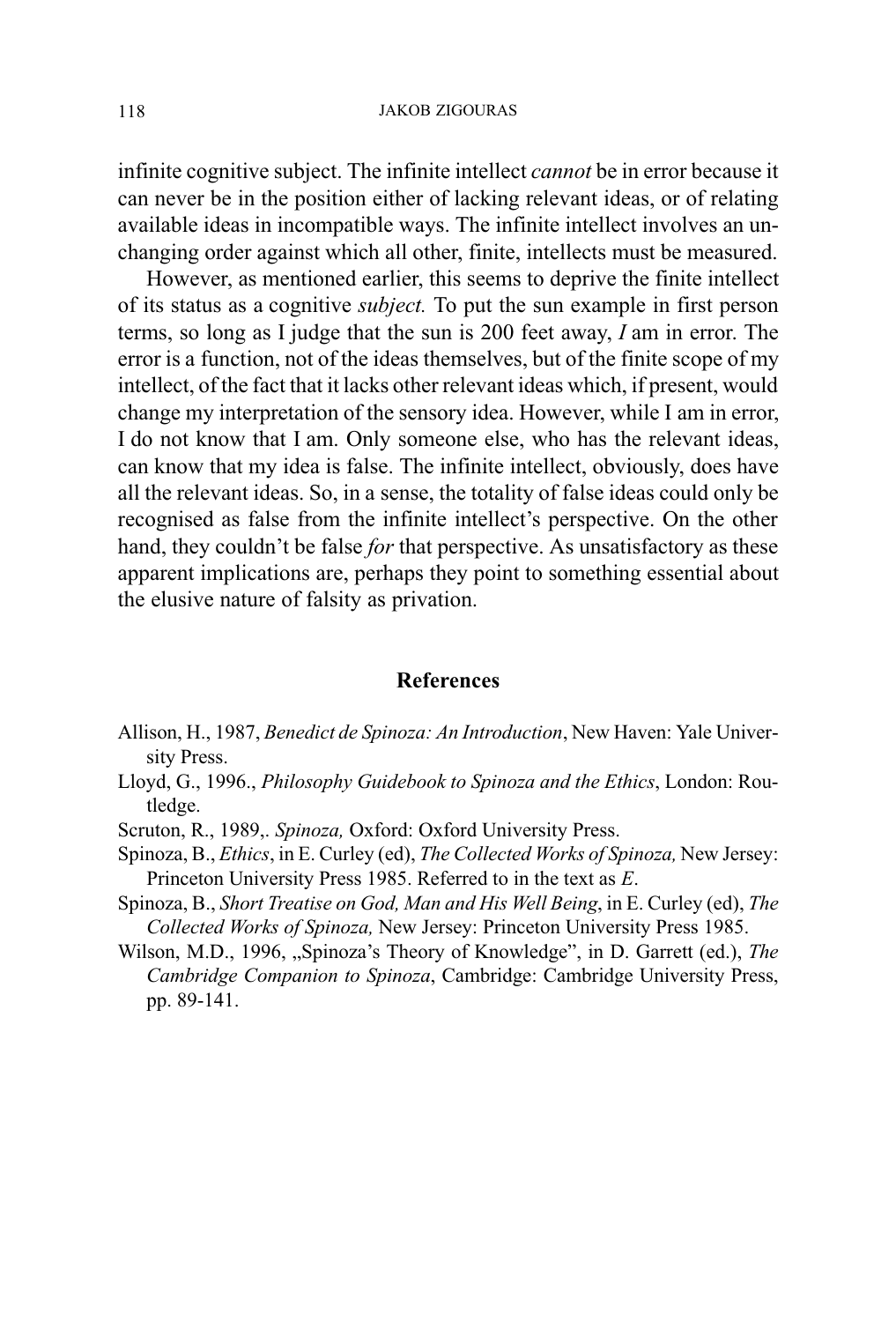infinite cognitive subject. The infinite intellect cannot be in error because it can never be in the position either of lacking relevant ideas, or of relating available ideas in incompatible ways. The infinite intellect involves an unchanging order against which all other, finite, intellects must be measured.

However, as mentioned earlier, this seems to deprive the finite intellect of its status as a cognitive subject. To put the sun example in first person terms, so long as I judge that the sun is 200 feet away, I am in error. The error is a function, not of the ideas themselves, but of the finite scope of my intellect, of the fact that it lacks other relevant ideas which, if present, would change my interpretation of the sensory idea. However, while I am in error, I do not know that I am. Only someone else, who has the relevant ideas, can know that my idea is false. The infinite intellect, obviously, does have all the relevant ideas. So, in a sense, the totality of false ideas could only be recognised as false from the infinite intellect's perspective. On the other hand, they couldn't be false for that perspective. As unsatisfactory as these apparent implications are, perhaps they point to something essential about the elusive nature of falsity as privation.

### **References**

- Allison, H., 1987, Benedict de Spinoza: An Introduction, New Haven: Yale University Press.
- Lloyd, G., 1996., Philosophy Guidebook to Spinoza and the Ethics, London: Routledge.
- Scruton, R., 1989,. Spinoza, Oxford: Oxford University Press.
- Spinoza, B., Ethics, in E. Curley (ed), The Collected Works of Spinoza, New Jersey: Princeton University Press 1985. Referred to in the text as E.
- Spinoza, B., Short Treatise on God, Man and His Well Being, in E. Curley (ed), The Collected Works of Spinoza, New Jersey: Princeton University Press 1985.
- Wilson, M.D., 1996, "Spinoza's Theory of Knowledge", in D. Garrett (ed.), *The* Cambridge Companion to Spinoza, Cambridge: Cambridge University Press, pp. 89-141.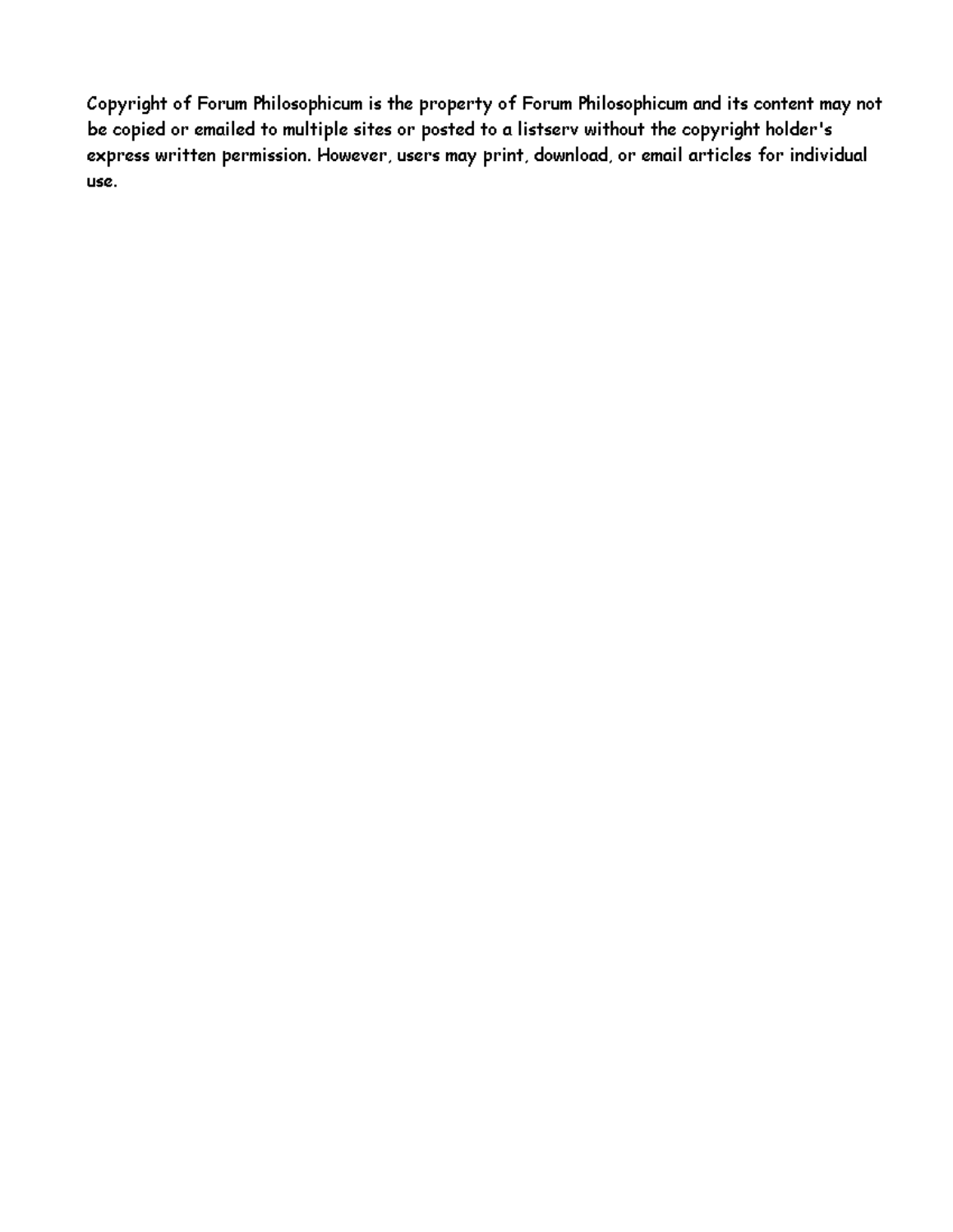Copyright of Forum Philosophicum is the property of Forum Philosophicum and its content may not be copied or emailed to multiple sites or posted to a listserv without the copyright holder's express written permission. However, users may print, download, or email articles for individual use.